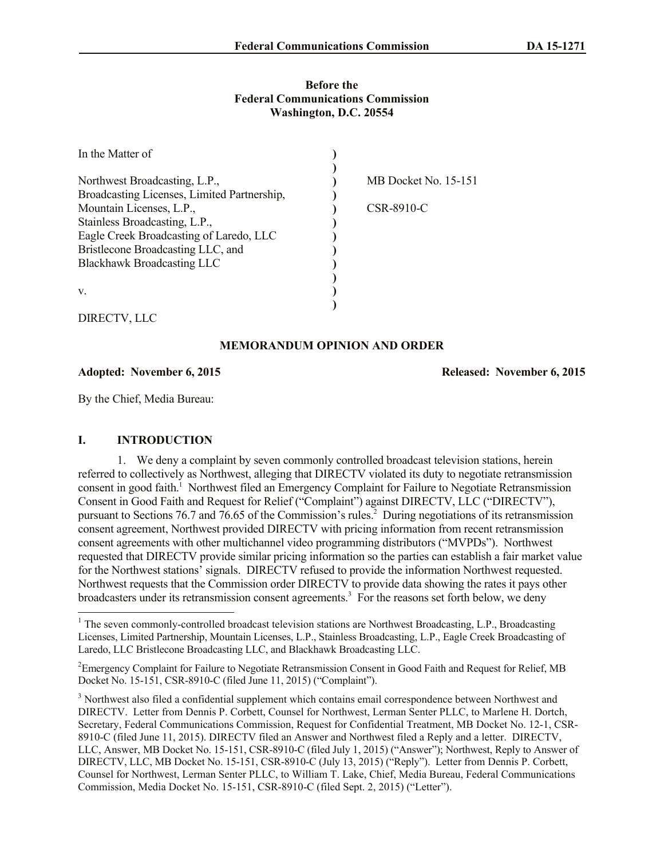#### **Before the Federal Communications Commission Washington, D.C. 20554**

| In the Matter of                            |                      |
|---------------------------------------------|----------------------|
|                                             |                      |
| Northwest Broadcasting, L.P.,               | MB Docket No. 15-151 |
| Broadcasting Licenses, Limited Partnership, |                      |
| Mountain Licenses, L.P.,                    | CSR-8910-C           |
| Stainless Broadcasting, L.P.,               |                      |
| Eagle Creek Broadcasting of Laredo, LLC     |                      |
| Bristlecone Broadcasting LLC, and           |                      |
| <b>Blackhawk Broadcasting LLC</b>           |                      |
|                                             |                      |
| V.                                          |                      |
|                                             |                      |

DIRECTV, LLC

 $\overline{\phantom{a}}$ 

# **MEMORANDUM OPINION AND ORDER**

**Adopted: November 6, 2015 Released: November 6, 2015**

By the Chief, Media Bureau:

# **I. INTRODUCTION**

1. We deny a complaint by seven commonly controlled broadcast television stations, herein referred to collectively as Northwest, alleging that DIRECTV violated its duty to negotiate retransmission consent in good faith.<sup>1</sup> Northwest filed an Emergency Complaint for Failure to Negotiate Retransmission Consent in Good Faith and Request for Relief ("Complaint") against DIRECTV, LLC ("DIRECTV"), pursuant to Sections 76.7 and 76.65 of the Commission's rules.<sup>2</sup> During negotiations of its retransmission consent agreement, Northwest provided DIRECTV with pricing information from recent retransmission consent agreements with other multichannel video programming distributors ("MVPDs"). Northwest requested that DIRECTV provide similar pricing information so the parties can establish a fair market value for the Northwest stations' signals. DIRECTV refused to provide the information Northwest requested. Northwest requests that the Commission order DIRECTV to provide data showing the rates it pays other broadcasters under its retransmission consent agreements.<sup>3</sup> For the reasons set forth below, we deny

 $1$  The seven commonly-controlled broadcast television stations are Northwest Broadcasting, L.P., Broadcasting Licenses, Limited Partnership, Mountain Licenses, L.P., Stainless Broadcasting, L.P., Eagle Creek Broadcasting of Laredo, LLC Bristlecone Broadcasting LLC, and Blackhawk Broadcasting LLC.

<sup>&</sup>lt;sup>2</sup>Emergency Complaint for Failure to Negotiate Retransmission Consent in Good Faith and Request for Relief, MB Docket No. 15-151, CSR-8910-C (filed June 11, 2015) ("Complaint").

<sup>&</sup>lt;sup>3</sup> Northwest also filed a confidential supplement which contains email correspondence between Northwest and DIRECTV. Letter from Dennis P. Corbett, Counsel for Northwest, Lerman Senter PLLC, to Marlene H. Dortch, Secretary, Federal Communications Commission, Request for Confidential Treatment, MB Docket No. 12-1, CSR-8910-C (filed June 11, 2015). DIRECTV filed an Answer and Northwest filed a Reply and a letter. DIRECTV, LLC, Answer, MB Docket No. 15-151, CSR-8910-C (filed July 1, 2015) ("Answer"); Northwest, Reply to Answer of DIRECTV, LLC, MB Docket No. 15-151, CSR-8910-C (July 13, 2015) ("Reply"). Letter from Dennis P. Corbett, Counsel for Northwest, Lerman Senter PLLC, to William T. Lake, Chief, Media Bureau, Federal Communications Commission, Media Docket No. 15-151, CSR-8910-C (filed Sept. 2, 2015) ("Letter").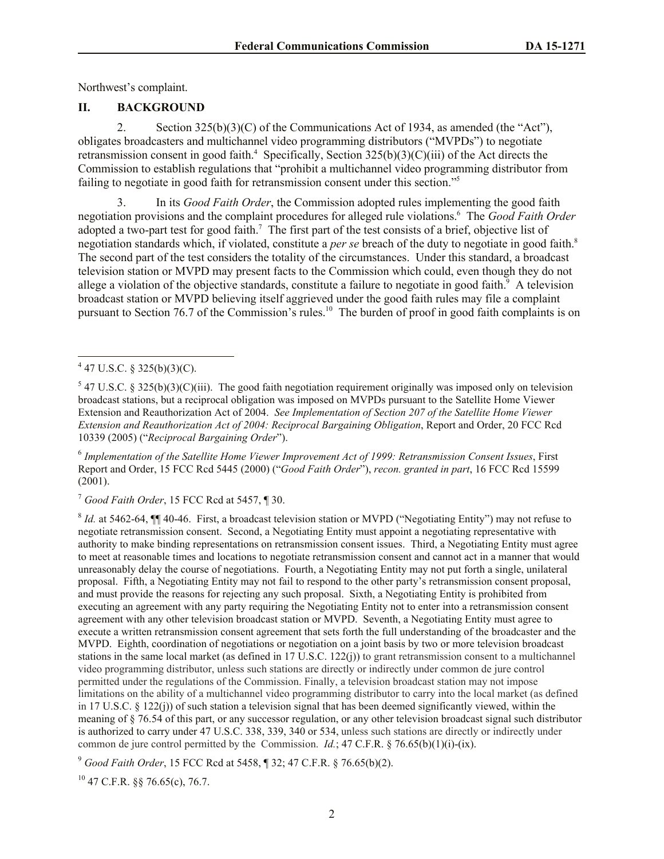Northwest's complaint.

# **II. BACKGROUND**

2. Section 325(b)(3)(C) of the Communications Act of 1934, as amended (the "Act"), obligates broadcasters and multichannel video programming distributors ("MVPDs") to negotiate retransmission consent in good faith.<sup>4</sup> Specifically, Section  $325(b)(3)(C)(iii)$  of the Act directs the Commission to establish regulations that "prohibit a multichannel video programming distributor from failing to negotiate in good faith for retransmission consent under this section."<sup>5</sup>

3. In its *Good Faith Order*, the Commission adopted rules implementing the good faith negotiation provisions and the complaint procedures for alleged rule violations.<sup>6</sup> The *Good Faith Order*  adopted a two-part test for good faith.<sup>7</sup> The first part of the test consists of a brief, objective list of negotiation standards which, if violated, constitute a *per se* breach of the duty to negotiate in good faith.<sup>8</sup> The second part of the test considers the totality of the circumstances. Under this standard, a broadcast television station or MVPD may present facts to the Commission which could, even though they do not allege a violation of the objective standards, constitute a failure to negotiate in good faith.<sup>9</sup> A television broadcast station or MVPD believing itself aggrieved under the good faith rules may file a complaint pursuant to Section 76.7 of the Commission's rules.<sup>10</sup> The burden of proof in good faith complaints is on

6 *Implementation of the Satellite Home Viewer Improvement Act of 1999: Retransmission Consent Issues*, First Report and Order, 15 FCC Rcd 5445 (2000) ("*Good Faith Order*"), *recon. granted in part*, 16 FCC Rcd 15599 (2001).

<sup>7</sup> *Good Faith Order*, 15 FCC Rcd at 5457, ¶ 30.

<sup>8</sup> *Id.* at 5462-64,  $\P$  40-46. First, a broadcast television station or MVPD ("Negotiating Entity") may not refuse to negotiate retransmission consent. Second, a Negotiating Entity must appoint a negotiating representative with authority to make binding representations on retransmission consent issues. Third, a Negotiating Entity must agree to meet at reasonable times and locations to negotiate retransmission consent and cannot act in a manner that would unreasonably delay the course of negotiations. Fourth, a Negotiating Entity may not put forth a single, unilateral proposal. Fifth, a Negotiating Entity may not fail to respond to the other party's retransmission consent proposal, and must provide the reasons for rejecting any such proposal. Sixth, a Negotiating Entity is prohibited from executing an agreement with any party requiring the Negotiating Entity not to enter into a retransmission consent agreement with any other television broadcast station or MVPD. Seventh, a Negotiating Entity must agree to execute a written retransmission consent agreement that sets forth the full understanding of the broadcaster and the MVPD. Eighth, coordination of negotiations or negotiation on a joint basis by two or more television broadcast stations in the same local market (as defined in 17 U.S.C. 122(j)) to grant retransmission consent to a multichannel video programming distributor, unless such stations are directly or indirectly under common de jure control permitted under the regulations of the Commission. Finally, a television broadcast station may not impose limitations on the ability of a multichannel video programming distributor to carry into the local market (as defined in 17 U.S.C. § 122(j)) of such station a television signal that has been deemed significantly viewed, within the meaning of § 76.54 of this part, or any successor regulation, or any other television broadcast signal such distributor is authorized to carry under 47 U.S.C. 338, 339, 340 or 534, unless such stations are directly or indirectly under common de jure control permitted by the Commission. *Id.*; 47 C.F.R. § 76.65(b)(1)(i)-(ix).

<sup>9</sup> *Good Faith Order*, 15 FCC Rcd at 5458, ¶ 32; 47 C.F.R. § 76.65(b)(2).

 $^{10}$  47 C.F.R.  $\&$  76.65(c), 76.7.

 $4\overline{47 \text{ U.S.C. } } 325(b)(3)(C).$ 

 $5$  47 U.S.C. § 325(b)(3)(C)(iii). The good faith negotiation requirement originally was imposed only on television broadcast stations, but a reciprocal obligation was imposed on MVPDs pursuant to the Satellite Home Viewer Extension and Reauthorization Act of 2004. *See Implementation of Section 207 of the Satellite Home Viewer Extension and Reauthorization Act of 2004: Reciprocal Bargaining Obligation*, Report and Order, 20 FCC Rcd 10339 (2005) ("*Reciprocal Bargaining Order*").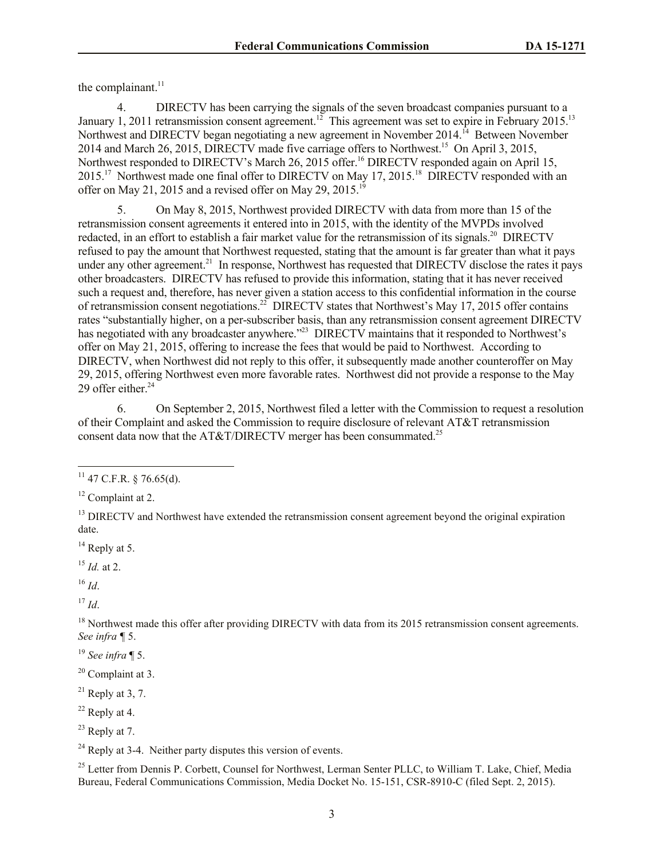the complainant.<sup>11</sup>

4. DIRECTV has been carrying the signals of the seven broadcast companies pursuant to a January 1, 2011 retransmission consent agreement.<sup>12</sup> This agreement was set to expire in February 2015.<sup>13</sup> Northwest and DIRECTV began negotiating a new agreement in November 2014.<sup>14</sup> Between November 2014 and March 26, 2015, DIRECTV made five carriage offers to Northwest.<sup>15</sup> On April 3, 2015, Northwest responded to DIRECTV's March 26, 2015 offer.<sup>16</sup> DIRECTV responded again on April 15,  $2015$ <sup>17</sup> Northwest made one final offer to DIRECTV on May 17, 2015.<sup>18</sup> DIRECTV responded with an offer on May 21, 2015 and a revised offer on May 29, 2015.<sup>19</sup>

5. On May 8, 2015, Northwest provided DIRECTV with data from more than 15 of the retransmission consent agreements it entered into in 2015, with the identity of the MVPDs involved redacted, in an effort to establish a fair market value for the retransmission of its signals.<sup>20</sup> DIRECTV refused to pay the amount that Northwest requested, stating that the amount is far greater than what it pays under any other agreement.<sup>21</sup> In response, Northwest has requested that DIRECTV disclose the rates it pays other broadcasters. DIRECTV has refused to provide this information, stating that it has never received such a request and, therefore, has never given a station access to this confidential information in the course of retransmission consent negotiations.<sup>22</sup> DIRECTV states that Northwest's May 17, 2015 offer contains rates "substantially higher, on a per-subscriber basis, than any retransmission consent agreement DIRECTV has negotiated with any broadcaster anywhere."<sup>23</sup> DIRECTV maintains that it responded to Northwest's offer on May 21, 2015, offering to increase the fees that would be paid to Northwest. According to DIRECTV, when Northwest did not reply to this offer, it subsequently made another counteroffer on May 29, 2015, offering Northwest even more favorable rates. Northwest did not provide a response to the May 29 offer either. 24

6. On September 2, 2015, Northwest filed a letter with the Commission to request a resolution of their Complaint and asked the Commission to require disclosure of relevant AT&T retransmission consent data now that the AT&T/DIRECTV merger has been consummated.<sup>25</sup>

 $14$  Reply at 5.

<sup>15</sup> *Id.* at 2.

<sup>16</sup> *Id*.

l

 $17$  *Id.* 

<sup>18</sup> Northwest made this offer after providing DIRECTV with data from its 2015 retransmission consent agreements. *See infra ¶* 5.

<sup>19</sup> *See infra* ¶ 5.

 $22$  Reply at 4.

 $23$  Reply at 7.

 $24$  Reply at 3-4. Neither party disputes this version of events.

<sup>25</sup> Letter from Dennis P. Corbett, Counsel for Northwest, Lerman Senter PLLC, to William T. Lake, Chief, Media Bureau, Federal Communications Commission, Media Docket No. 15-151, CSR-8910-C (filed Sept. 2, 2015).

 $^{11}$  47 C.F.R. § 76.65(d).

 $12$  Complaint at 2.

<sup>&</sup>lt;sup>13</sup> DIRECTV and Northwest have extended the retransmission consent agreement beyond the original expiration date.

 $20$  Complaint at 3.

 $^{21}$  Reply at 3, 7.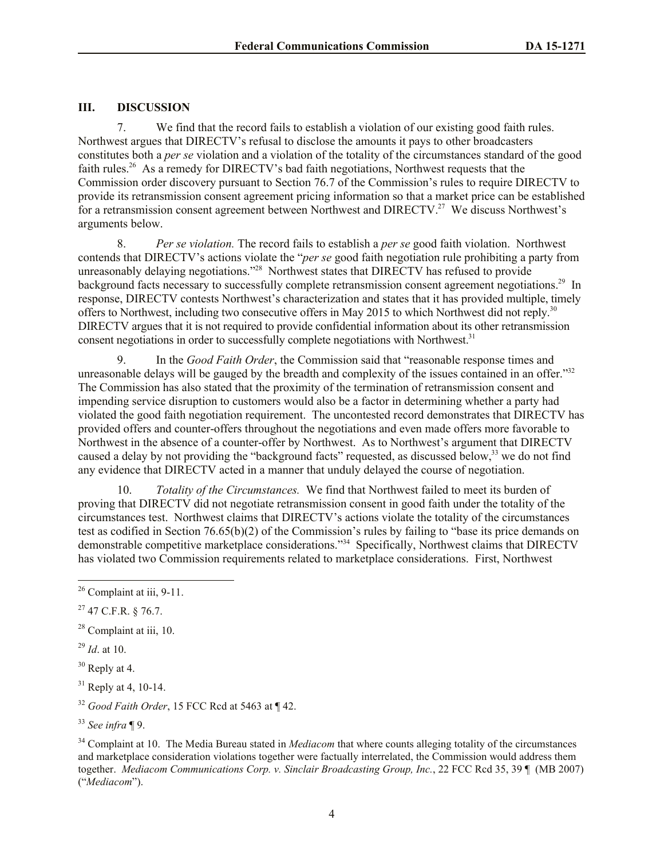# **III. DISCUSSION**

7. We find that the record fails to establish a violation of our existing good faith rules. Northwest argues that DIRECTV's refusal to disclose the amounts it pays to other broadcasters constitutes both a *per se* violation and a violation of the totality of the circumstances standard of the good faith rules.<sup>26</sup> As a remedy for DIRECTV's bad faith negotiations, Northwest requests that the Commission order discovery pursuant to Section 76.7 of the Commission's rules to require DIRECTV to provide its retransmission consent agreement pricing information so that a market price can be established for a retransmission consent agreement between Northwest and DIRECTV.<sup>27</sup> We discuss Northwest's arguments below.

8. *Per se violation.* The record fails to establish a *per se* good faith violation. Northwest contends that DIRECTV's actions violate the "*per se* good faith negotiation rule prohibiting a party from unreasonably delaying negotiations."<sup>28</sup> Northwest states that DIRECTV has refused to provide background facts necessary to successfully complete retransmission consent agreement negotiations.<sup>29</sup> In response, DIRECTV contests Northwest's characterization and states that it has provided multiple, timely offers to Northwest, including two consecutive offers in May 2015 to which Northwest did not reply.<sup>30</sup> DIRECTV argues that it is not required to provide confidential information about its other retransmission consent negotiations in order to successfully complete negotiations with Northwest.<sup>31</sup>

9. In the *Good Faith Order*, the Commission said that "reasonable response times and unreasonable delays will be gauged by the breadth and complexity of the issues contained in an offer."<sup>32</sup> The Commission has also stated that the proximity of the termination of retransmission consent and impending service disruption to customers would also be a factor in determining whether a party had violated the good faith negotiation requirement. The uncontested record demonstrates that DIRECTV has provided offers and counter-offers throughout the negotiations and even made offers more favorable to Northwest in the absence of a counter-offer by Northwest. As to Northwest's argument that DIRECTV caused a delay by not providing the "background facts" requested, as discussed below,<sup>33</sup> we do not find any evidence that DIRECTV acted in a manner that unduly delayed the course of negotiation.

10. *Totality of the Circumstances.* We find that Northwest failed to meet its burden of proving that DIRECTV did not negotiate retransmission consent in good faith under the totality of the circumstances test. Northwest claims that DIRECTV's actions violate the totality of the circumstances test as codified in Section 76.65(b)(2) of the Commission's rules by failing to "base its price demands on demonstrable competitive marketplace considerations."<sup>34</sup> Specifically, Northwest claims that DIRECTV has violated two Commission requirements related to marketplace considerations. First, Northwest

l

 $26$  Complaint at iii, 9-11.

 $^{27}$  47 C.F.R. § 76.7.

 $28$  Complaint at iii, 10.

<sup>29</sup> *Id*. at 10.

 $30$  Reply at 4.

 $31$  Reply at 4, 10-14.

<sup>32</sup> *Good Faith Order*, 15 FCC Rcd at 5463 at ¶ 42.

<sup>33</sup> *See infra* ¶ 9.

<sup>34</sup> Complaint at 10. The Media Bureau stated in *Mediacom* that where counts alleging totality of the circumstances and marketplace consideration violations together were factually interrelated, the Commission would address them together. *Mediacom Communications Corp. v. Sinclair Broadcasting Group, Inc.*, 22 FCC Rcd 35, 39 ¶ (MB 2007) ("*Mediacom*").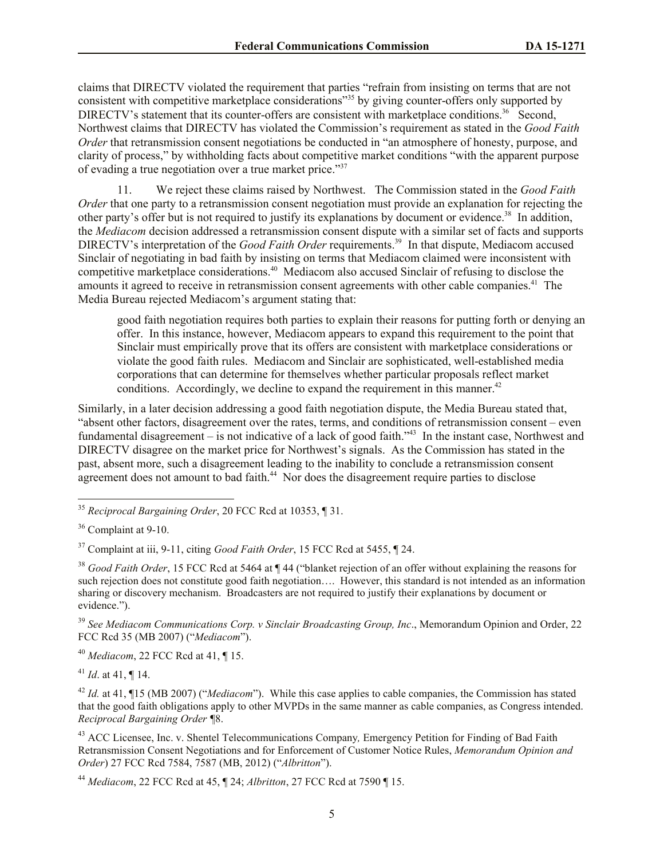claims that DIRECTV violated the requirement that parties "refrain from insisting on terms that are not consistent with competitive marketplace considerations<sup>"35</sup> by giving counter-offers only supported by DIRECTV's statement that its counter-offers are consistent with marketplace conditions.<sup>36</sup> Second, Northwest claims that DIRECTV has violated the Commission's requirement as stated in the *Good Faith Order* that retransmission consent negotiations be conducted in "an atmosphere of honesty, purpose, and clarity of process," by withholding facts about competitive market conditions "with the apparent purpose of evading a true negotiation over a true market price."<sup>37</sup>

11. We reject these claims raised by Northwest. The Commission stated in the *Good Faith Order* that one party to a retransmission consent negotiation must provide an explanation for rejecting the other party's offer but is not required to justify its explanations by document or evidence.<sup>38</sup> In addition, the *Mediacom* decision addressed a retransmission consent dispute with a similar set of facts and supports DIRECTV's interpretation of the *Good Faith Order* requirements.<sup>39</sup> In that dispute, Mediacom accused Sinclair of negotiating in bad faith by insisting on terms that Mediacom claimed were inconsistent with competitive marketplace considerations.<sup>40</sup> Mediacom also accused Sinclair of refusing to disclose the amounts it agreed to receive in retransmission consent agreements with other cable companies.<sup>41</sup> The Media Bureau rejected Mediacom's argument stating that:

good faith negotiation requires both parties to explain their reasons for putting forth or denying an offer. In this instance, however, Mediacom appears to expand this requirement to the point that Sinclair must empirically prove that its offers are consistent with marketplace considerations or violate the good faith rules. Mediacom and Sinclair are sophisticated, well-established media corporations that can determine for themselves whether particular proposals reflect market conditions. Accordingly, we decline to expand the requirement in this manner.<sup>42</sup>

Similarly, in a later decision addressing a good faith negotiation dispute, the Media Bureau stated that, "absent other factors, disagreement over the rates, terms, and conditions of retransmission consent – even fundamental disagreement  $-$  is not indicative of a lack of good faith.<sup> $34$ </sup> In the instant case, Northwest and DIRECTV disagree on the market price for Northwest's signals. As the Commission has stated in the past, absent more, such a disagreement leading to the inability to conclude a retransmission consent agreement does not amount to bad faith.<sup>44</sup> Nor does the disagreement require parties to disclose

l

<sup>40</sup> *Mediacom*, 22 FCC Rcd at 41, ¶ 15.

<sup>41</sup> *Id*. at 41, ¶ 14.

<sup>42</sup> *Id.* at 41, ¶15 (MB 2007) ("*Mediacom*"). While this case applies to cable companies, the Commission has stated that the good faith obligations apply to other MVPDs in the same manner as cable companies, as Congress intended. *Reciprocal Bargaining Order ¶*8.

<sup>43</sup> ACC Licensee, Inc. v. Shentel Telecommunications Company*,* Emergency Petition for Finding of Bad Faith Retransmission Consent Negotiations and for Enforcement of Customer Notice Rules, *Memorandum Opinion and Order*) 27 FCC Rcd 7584, 7587 (MB, 2012) ("*Albritton*").

<sup>35</sup> *Reciprocal Bargaining Order*, 20 FCC Rcd at 10353, ¶ 31.

<sup>36</sup> Complaint at 9-10.

<sup>37</sup> Complaint at iii, 9-11, citing *Good Faith Order*, 15 FCC Rcd at 5455, ¶ 24.

<sup>38</sup> *Good Faith Order*, 15 FCC Rcd at 5464 at ¶ 44 ("blanket rejection of an offer without explaining the reasons for such rejection does not constitute good faith negotiation…. However, this standard is not intended as an information sharing or discovery mechanism. Broadcasters are not required to justify their explanations by document or evidence.").

<sup>39</sup> *See Mediacom Communications Corp. v Sinclair Broadcasting Group, Inc*., Memorandum Opinion and Order, 22 FCC Rcd 35 (MB 2007) ("*Mediacom*").

<sup>44</sup> *Mediacom*, 22 FCC Rcd at 45, ¶ 24; *Albritton*, 27 FCC Rcd at 7590 ¶ 15.